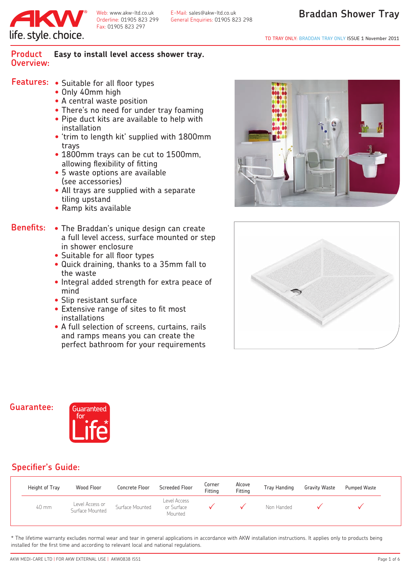

Fax: 01905 823 297

Web: www.akw-ltd.co.uk E-Mail: sales@akw-ltd.co.uk<br>Orderline: 01905 823 299 General Enguiries: 01905 82 Orderline: 01905 823 299 General Enquiries: 01905 823 298

#### **Product Easy to install level access shower tray. Overview:**

- **Features:** Suitable for all floor types
	- Only 40mm high
	- A central waste position
	- There's no need for under tray foaming
	- Pipe duct kits are available to help with installation
	- 'trim to length kit' supplied with 1800mm trays
	- 1800mm trays can be cut to 1500mm, allowing flexibility of fitting
	- 5 waste options are available (see accessories)
	- All trays are supplied with a separate tiling upstand
	- Ramp kits available
- The Braddan's unique design can create a full level access, surface mounted or step in shower enclosure **Benefits:**
	- Suitable for all floor types
	- Quick draining, thanks to a 35mm fall to the waste
	- Integral added strength for extra peace of mind
	- Slip resistant surface
	- Extensive range of sites to fit most installations
	- A full selection of screens, curtains, rails and ramps means you can create the perfect bathroom for your requirements





#### **Guarantee:**



#### **Specifier's Guide:**

| Height of Tray | Wood Floor                         | Concrete Floor  | <b>Screeded Floor</b>                 | Corner<br>Fitting | Alcove<br>Fitting | <b>Tray Handing</b> | <b>Gravity Waste</b> | <b>Pumped Waste</b> |
|----------------|------------------------------------|-----------------|---------------------------------------|-------------------|-------------------|---------------------|----------------------|---------------------|
| 40 mm          | Level Access or<br>Surface Mounted | Surface Mounted | Level Access<br>or Surface<br>Mounted |                   |                   | Non Handed          |                      |                     |

\* The lifetime warranty excludes normal wear and tear in general applications in accordance with AKW installation instructions. It applies only to products being installed for the first time and according to relevant local and national regulations.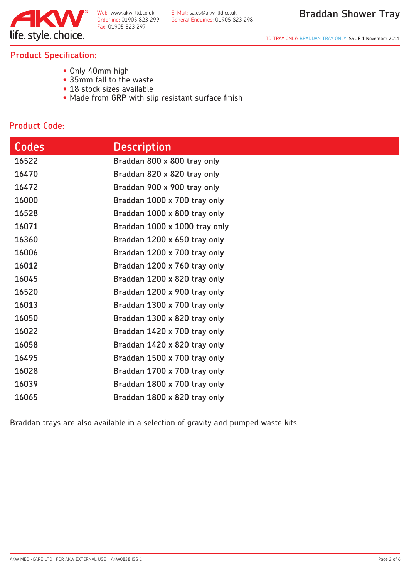

TD TRAY ONLY: BRADDAN TRAY ONLY ISSUE 1 November 2011

#### **Product Specification:**

- Only 40mm high
- 35mm fall to the waste
- 18 stock sizes available
- Made from GRP with slip resistant surface finish

#### **Product Code:**

| <b>Codes</b> | <b>Description</b>            |
|--------------|-------------------------------|
| 16522        | Braddan 800 x 800 tray only   |
| 16470        | Braddan 820 x 820 tray only   |
| 16472        | Braddan 900 x 900 tray only   |
| 16000        | Braddan 1000 x 700 tray only  |
| 16528        | Braddan 1000 x 800 tray only  |
| 16071        | Braddan 1000 x 1000 tray only |
| 16360        | Braddan 1200 x 650 tray only  |
| 16006        | Braddan 1200 x 700 tray only  |
| 16012        | Braddan 1200 x 760 tray only  |
| 16045        | Braddan 1200 x 820 tray only  |
| 16520        | Braddan 1200 x 900 tray only  |
| 16013        | Braddan 1300 x 700 tray only  |
| 16050        | Braddan 1300 x 820 tray only  |
| 16022        | Braddan 1420 x 700 tray only  |
| 16058        | Braddan 1420 x 820 tray only  |
| 16495        | Braddan 1500 x 700 tray only  |
| 16028        | Braddan 1700 x 700 tray only  |
| 16039        | Braddan 1800 x 700 tray only  |
| 16065        | Braddan 1800 x 820 tray only  |

Braddan trays are also available in a selection of gravity and pumped waste kits.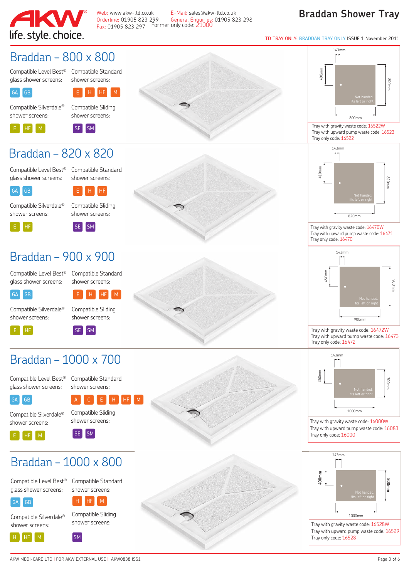

Web: www.akw-ltd.co.uk E-Mail: sales@akw-ltd.co.uk<br>Orderline: 01905 823 299 General Enguiries: 01905 82 Fax: 01905 823 297 Former only code: 21000

Orderline: 01905 823 299 General Enquiries: 01905 823 298

#### **Braddan Shower Tray**

TD TRAY ONLY: BRADDAN TRAY ONLY ISSUE 1 November 2011

 $143mm$ 

#### Braddan – 800 x 800

Compatible Level Best® Compatible Standard glass shower screens:

shower screens:

H HF M

#### GA**GB**

shower screens: E HF M

Compatible Silverdale®  $E_{\parallel}$ 

Compatible Sliding shower screens:



# Braddan – 820 x 820

Compatible Level Best® Compatible Standard glass shower screens:

shower screens:



H HF

Compatible Silverdale® shower screens:



Compatible Sliding shower screens:



# Braddan – 900 x 900

Compatible Level Best® Compatible Standard glass shower screens:

shower screens:



<sup>E</sup> HF

<sup>E</sup> <sup>H</sup> HF M

Compatible Sliding

Compatible Silverdale® shower screens:

shower screens:  $SE$   $SM$ 

# Braddan – 1000 x 700

Compatible Level Best® glass shower screens: Compatible Standard



 $E$   $H$   $M$ 

shower screens:

Compatible Silverdale® shower screens:





800mm 400mm 800mm SE SM Tray with gravity waste code: 16522W<br>Tray with upward pump waste code: 16523W<br>Tray with upward pump waste code: 16523W



Tray with gravity waste code: 16470W Tray with upward pump waste code: 16471 Tray only code: 16470



Tray with gravity waste code: 16472W Tray with upward pump waste code: 16473 Tray only code: 16472



Tray with gravity waste code: 16000W Tray with upward pump waste code: 16083 Tray only code: 16000



Tray with gravity waste code: 16528W Tray with upward pump waste code: 16529 Tray only code: 16528

Braddan – 1000 x 800

Compatible Level Best® glass shower screens: Compatible Standard shower screens:



Compatible Silverdale® shower screens:



Compatible Sliding shower screens:

 $H = M$ 

H HF M SM

 $H$ 

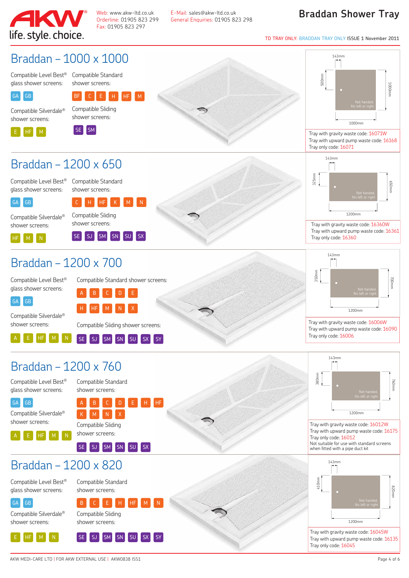

Fax: 01905 823 297

Web: www.akw-ltd.co.uk E-Mail: sales@akw-ltd.co.uk<br>Orderline: 01905 823 299 General Enguiries: 01905 82 Orderline: 01905 823 299 General Enquiries: 01905 823 298

#### **Braddan Shower Tray**

TD TRAY ONLY: BRADDAN TRAY ONLY ISSUE 1 November 2011

#### Braddan – 1000 x 1000

Compatible Level Best® Compatible Standard glass shower screens:

shower screens:



 $BF$   $C$   $E$ Compatible Sliding H HF M







143mm 500mm 1000mm 1000mm 1000mm

Tray with gravity waste code: 16071W Tray with upward pump waste code: 16168 Tray only code: 16071



Tray with gravity waste code: 16360W Tray with upward pump waste code: 16361 Tray only code: 16360



Tray with gravity waste code: 16006W Tray with upward pump waste code: 16090 Tray only code: 16006



Tray with gravity waste code: 16012W Tray with upward pump waste code: 16175 Tray only code: 16012 Not suitable for use with standard screens when fitted with a pipe duct kit



Tray with gravity waste code: 16045W Tray with upward pump waste code: 16135 Tray only code: 16045

# Braddan – 1200 x 650

Compatible Level Best® Compatible Standard glass shower screens:



Compatible Silverdale®

<sup>C</sup> <sup>H</sup> HF Compatible Sliding K | M | N

shower screens:  $H_F$   $M$   $N$ 

GA GB

GA GB

í

j

shower screens:

í

shower screens: SE SJ SM SN SU SX

shower screens:

# Braddan – 1200 x 700

Compatible Level Best® glass shower screens:

Compatible Standard shower screens: A B C D E

H HF M N X

Compatible Silverdale® shower screens:

Compatible Sliding shower screens:

#### A E HF M N **SE** SJ SM SN SU SX SY

# Braddan – 1200 x 760

Compatible Level Best® glass shower screens:

A E HF M N

Compatible Standard shower screens:

Compatible Silverdale® <sup>A</sup> <sup>B</sup> <sup>C</sup> <sup>D</sup> <sup>E</sup> <sup>H</sup> HF K M N X

ŕ

Compatible Sliding shower screens:

SE SJ SM SN SU SX

# $Braddan - 1200 \times 820$



Compatible Standard shower screens:

 $B$   $C$   $E$   $H$ 

SE SJ SM SN SU SX SY

Compatible Silverdale® shower screens:

E HF M N

Compatible Sliding shower screens: j

AKW MEDI-CARE LTD | FOR AKW EXTERNAL USE | AKW0838 ISS1 Page 4 of 6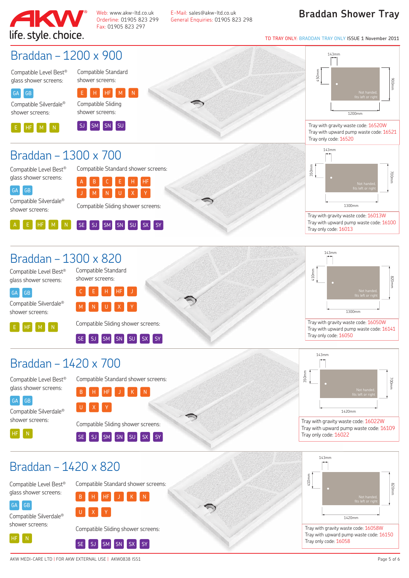

Web: www.akw-ltd.co.uk E-Mail: sales@akw-ltd.co.uk<br>Orderline: 01905 823 299 General Enguiries: 01905 82 Fax: 01905 823 297

Orderline: 01905 823 299 General Enquiries: 01905 823 298

#### **Braddan Shower Tray**

TD TRAY ONLY: BRADDAN TRAY ONLY ISSUE 1 November 2011



#### Braddan – 1300 x 820

Compatible Level Best® glass shower screens:

Compatible Standard shower screens:

GA GB

j

Compatible Silverdale® shower screens:

E HF M N

C E H HF J M N U X Y

Compatible Sliding shower screens: j

 $SSE$   $SJ$   $S M$   $S N$   $SU$   $S X$   $S Y$ 

Compatible Standard shower screens:

B H HF J K N

# Braddan – 1420 x 700

Compatible Level Best® glass shower screens:



Compatible Silverdale®





U X Y

SE SJ SM SN SU SX SY

Compatible Standard shower screens:

B H HF J K N



Tray only code: 16050

143mm

410

mm

Tray with gravity waste code: 16022W Tray with upward pump waste code: 16109 Tray only code: 16022

1300mm

Tray with gravity waste code: 16050W Tray with upward pump waste code: 16141



Compatible Level Best® glass shower screens:



Compatible Silverdale® shower screens:



Compatible Sliding shower screens: SE SJ SM SN SX SY



Tray with gravity waste code: 16058W Tray with upward pump waste code: 16150 Tray only code: 16058

j

 $U$  X

820

700

900mm

mm

mm

700

mm